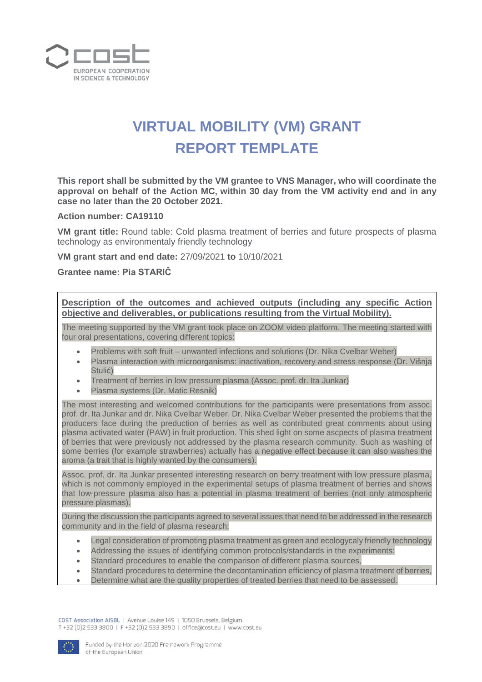

## **VIRTUAL MOBILITY (VM) GRANT REPORT TEMPLATE**

**This report shall be submitted by the VM grantee to VNS Manager, who will coordinate the approval on behalf of the Action MC, within 30 day from the VM activity end and in any case no later than the 20 October 2021.**

**Action number: CA19110**

**VM grant title:** Round table: Cold plasma treatment of berries and future prospects of plasma technology as environmentaly friendly technology

**VM grant start and end date:** 27/09/2021 **to** 10/10/2021

**Grantee name: Pia STARIČ**

**Description of the outcomes and achieved outputs (including any specific Action objective and deliverables, or publications resulting from the Virtual Mobility).**

The meeting supported by the VM grant took place on ZOOM video platform. The meeting started with four oral presentations, covering different topics:

- Problems with soft fruit unwanted infections and solutions (Dr. Nika Cvelbar Weber)
- Plasma interaction with microorganisms: inactivation, recovery and stress response (Dr. Višnja Stulić)
- Treatment of berries in low pressure plasma (Assoc. prof. dr. Ita Junkar)
- Plasma systems (Dr. Matic Resnik)

The most interesting and welcomed contributions for the participants were presentations from assoc. prof. dr. Ita Junkar and dr. Nika Cvelbar Weber. Dr. Nika Cvelbar Weber presented the problems that the producers face during the preduction of berries as well as contributed great comments about using plasma activated water (PAW) in fruit production. This shed light on some ascpects of plasma treatment of berries that were previously not addressed by the plasma research community. Such as washing of some berries (for example strawberries) actually has a negative effect because it can also washes the aroma (a trait that is highly wanted by the consumers).

Assoc. prof. dr. Ita Junkar presented interesting research on berry treatment with low pressure plasma, which is not commonly employed in the experimental setups of plasma treatment of berries and shows that low-pressure plasma also has a potential in plasma treatment of berries (not only atmospheric pressure plasmas).

During the discussion the participants agreed to several issues that need to be addressed in the research community and in the field of plasma research:

- Legal consideration of promoting plasma treatment as green and ecologycaly friendly technology
- Addressing the issues of identifying common protocols/standards in the experiments:
- Standard procedures to enable the comparison of different plasma sources,
- Standard procedures to determine the decontamination efficiency of plasma treatment of berries,
- Determine what are the quality properties of treated berries that need to be assessed.

COST Association AISBL | Avenue Louise 149 | 1050 Brussels, Belgium T+32 (0)2 533 3800 | F+32 (0)2 533 3890 | office@cost.eu | www.cost.eu

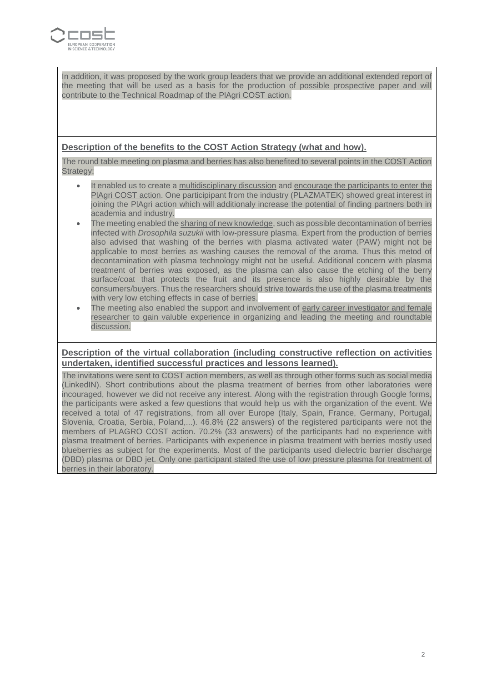

In addition, it was proposed by the work group leaders that we provide an additional extended report of the meeting that will be used as a basis for the production of possible prospective paper and will contribute to the Technical Roadmap of the PlAgri COST action.

## **Description of the benefits to the COST Action Strategy (what and how).**

The round table meeting on plasma and berries has also benefited to several points in the COST Action Strategy:

- It enabled us to create a multidisciplinary discussion and encourage the participants to enter the PlAgri COST action. One participipant from the industry (PLAZMATEK) showed great interest in joining the PlAgri action which will additionaly increase the potential of finding partners both in academia and industry.
- The meeting enabled the sharing of new knowledge, such as possible decontamination of berries infected with *Drosophila suzukii* with low-pressure plasma. Expert from the production of berries also advised that washing of the berries with plasma activated water (PAW) might not be applicable to most berries as washing causes the removal of the aroma. Thus this metod of decontamination with plasma technology might not be useful. Additional concern with plasma treatment of berries was exposed, as the plasma can also cause the etching of the berry surface/coat that protects the fruit and its presence is also highly desirable by the consumers/buyers. Thus the researchers should strive towards the use of the plasma treatments with very low etching effects in case of berries.
- The meeting also enabled the support and involvement of early career investigator and female researcher to gain valuble experience in organizing and leading the meeting and roundtable discussion.

## **Description of the virtual collaboration (including constructive reflection on activities undertaken, identified successful practices and lessons learned).**

The invitations were sent to COST action members, as well as through other forms such as social media (LinkedIN). Short contributions about the plasma treatment of berries from other laboratories were incouraged, however we did not receive any interest. Along with the registration through Google forms, the participants were asked a few questions that would help us with the organization of the event. We received a total of 47 registrations, from all over Europe (Italy, Spain, France, Germany, Portugal, Slovenia, Croatia, Serbia, Poland,...). 46.8% (22 answers) of the registered participants were not the members of PLAGRO COST action. 70.2% (33 answers) of the participants had no experience with plasma treatment of berries. Participants with experience in plasma treatment with berries mostly used blueberries as subject for the experiments. Most of the participants used dielectric barrier discharge (DBD) plasma or DBD jet. Only one participant stated the use of low pressure plasma for treatment of berries in their laboratory.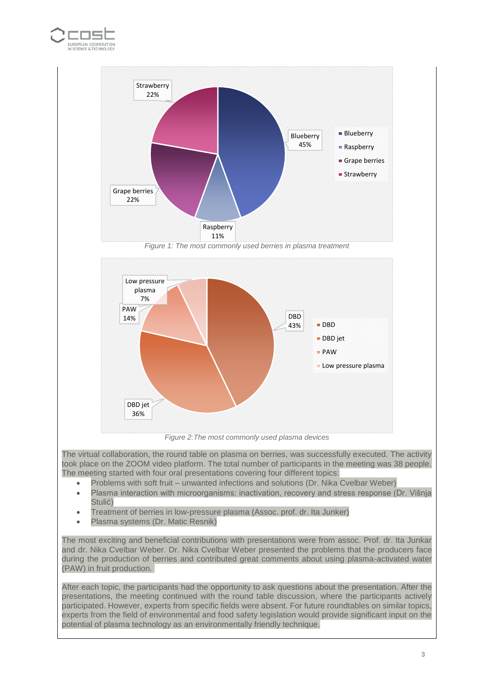







*Figure 2:The most commonly used plasma devices*

The virtual collaboration, the round table on plasma on berries, was successfully executed. The activity took place on the ZOOM video platform. The total number of participants in the meeting was 38 people. The meeting started with four oral presentations covering four different topics:

- Problems with soft fruit unwanted infections and solutions (Dr. Nika Cvelbar Weber)
- Plasma interaction with microorganisms: inactivation, recovery and stress response (Dr. Višnja Stulić)
- Treatment of berries in low-pressure plasma (Assoc. prof. dr. Ita Junker)
- Plasma systems (Dr. Matic Resnik)

The most exciting and beneficial contributions with presentations were from assoc. Prof. dr. Ita Junkar and dr. Nika Cvelbar Weber. Dr. Nika Cvelbar Weber presented the problems that the producers face during the production of berries and contributed great comments about using plasma-activated water (PAW) in fruit production.

After each topic, the participants had the opportunity to ask questions about the presentation. After the presentations, the meeting continued with the round table discussion, where the participants actively participated. However, experts from specific fields were absent. For future roundtables on similar topics, experts from the field of environmental and food safety legislation would provide significant input on the potential of plasma technology as an environmentally friendly technique.